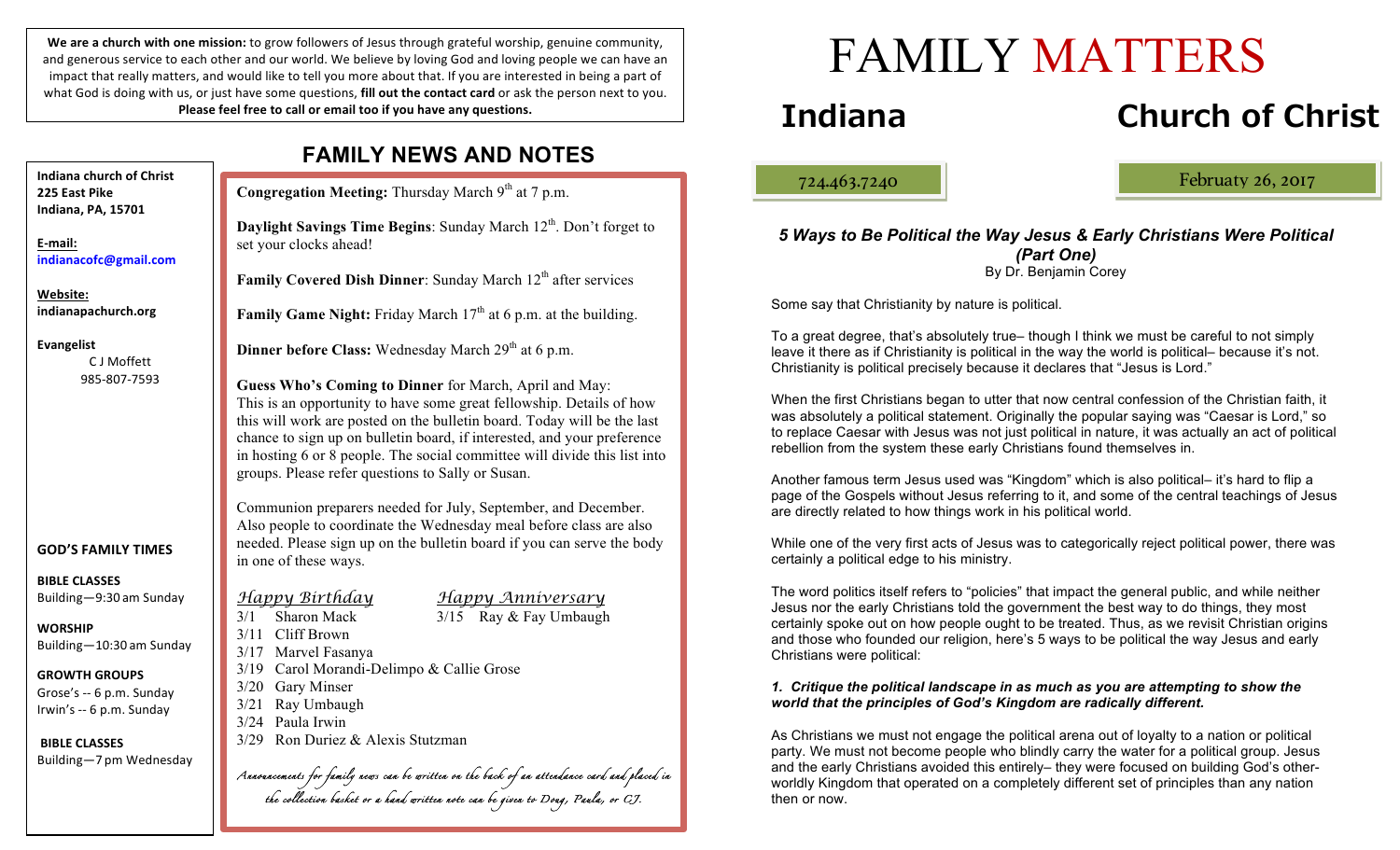We are a church with one mission: to grow followers of Jesus through grateful worship, genuine community, and generous service to each other and our world. We believe by loving God and loving people we can have an impact that really matters, and would like to tell you more about that. If you are interested in being a part of what God is doing with us, or just have some questions, **fill out the contact card** or ask the person next to you. Please feel free to call or email too if you have any questions.

| <b>FAMILY NEWS AND NOTES</b>     |                                                                                                                                                                                                                                                                                                                                                                                                                        |
|----------------------------------|------------------------------------------------------------------------------------------------------------------------------------------------------------------------------------------------------------------------------------------------------------------------------------------------------------------------------------------------------------------------------------------------------------------------|
| of Christ                        | Congregation Meeting: Thursday March 9th at 7 p.m.                                                                                                                                                                                                                                                                                                                                                                     |
| 01                               | <b>Daylight Savings Time Begins:</b> Sunday March $12th$ . Don't forget to<br>set your clocks ahead!                                                                                                                                                                                                                                                                                                                   |
| nail.com                         | Family Covered Dish Dinner: Sunday March 12 <sup>th</sup> after services                                                                                                                                                                                                                                                                                                                                               |
| 1.org                            | <b>Family Game Night:</b> Friday March $17th$ at 6 p.m. at the building.                                                                                                                                                                                                                                                                                                                                               |
| fett                             | <b>Dinner before Class:</b> Wednesday March 29 <sup>th</sup> at 6 p.m.                                                                                                                                                                                                                                                                                                                                                 |
| -7593                            | Guess Who's Coming to Dinner for March, April and May:<br>This is an opportunity to have some great fellowship. Details of how<br>this will work are posted on the bulletin board. Today will be the last<br>chance to sign up on bulletin board, if interested, and your preference<br>in hosting 6 or 8 people. The social committee will divide this list into<br>groups. Please refer questions to Sally or Susan. |
| <b>TIMES</b>                     | Communion preparers needed for July, September, and December.<br>Also people to coordinate the Wednesday meal before class are also<br>needed. Please sign up on the bulletin board if you can serve the body<br>in one of these ways.                                                                                                                                                                                 |
| m Sunday                         | Happy Birthday anniversary                                                                                                                                                                                                                                                                                                                                                                                             |
| am Sunday<br><b>PS</b><br>Sunday | $3/15$ Ray & Fay Umbaugh<br>3/1 Sharon Mack<br>3/11 Cliff Brown<br>3/17 Marvel Fasanya<br>3/19 Carol Morandi-Delimpo & Callie Grose<br>3/20 Gary Minser                                                                                                                                                                                                                                                                |
| Sunday                           | 3/21 Ray Umbaugh<br>3/24 Paula Irwin<br>3/29 Ron Duriez & Alexis Stutzman                                                                                                                                                                                                                                                                                                                                              |
| Nednesday                        | Annonncements for family news can be written on the back of an attendance card and placed in                                                                                                                                                                                                                                                                                                                           |
|                                  | the collection basket or a hand written note can be given to Doug, Panla, or CJ.                                                                                                                                                                                                                                                                                                                                       |

# FAMILY MATTERS

# **Indiana Church of Christ**

ļ

724.463.7240 Februaty 26, 2017

#### *5 Ways to Be Political the Way Jesus & Early Christians Were Political (Part One)* By Dr. Benjamin Corey

Some say that Christianity by nature is political.

To a great degree, that's absolutely true– though I think we must be careful to not simply leave it there as if Christianity is political in the way the world is political– because it's not. Christianity is political precisely because it declares that "Jesus is Lord."

When the first Christians began to utter that now central confession of the Christian faith, it was absolutely a political statement. Originally the popular saying was "Caesar is Lord," so to replace Caesar with Jesus was not just political in nature, it was actually an act of political rebellion from the system these early Christians found themselves in.

Another famous term Jesus used was "Kingdom" which is also political– it's hard to flip a page of the Gospels without Jesus referring to it, and some of the central teachings of Jesus are directly related to how things work in his political world.

While one of the very first acts of Jesus was to categorically reject political power, there was certainly a political edge to his ministry.

The word politics itself refers to "policies" that impact the general public, and while neither Jesus nor the early Christians told the government the best way to do things, they most certainly spoke out on how people ought to be treated. Thus, as we revisit Christian origins and those who founded our religion, here's 5 ways to be political the way Jesus and early Christians were political:

#### *1. Critique the political landscape in as much as you are attempting to show the world that the principles of God's Kingdom are radically different.*

As Christians we must not engage the political arena out of loyalty to a nation or political party. We must not become people who blindly carry the water for a political group. Jesus and the early Christians avoided this entirely– they were focused on building God's otherworldly Kingdom that operated on a completely different set of principles than any nation then or now.

**Indiana church c 225 East Pike Indiana, PA, 157** 

**E-mail: indianacofc@gm** 

**Website:** indianapachurch

**Evangelist** C J Mof 985-807

```
GOD'S FAMILY
```
**BIBLE CLASSES** Building $-9:30$  and

**WORSHIP** Building $-10:30$ 

**GROWTH GROU** Grose's  $-6$  p.m. Irwin's  $-6$  p.m.

**BIBLE CLASSES** Building-7 pm  $\mathcal V$